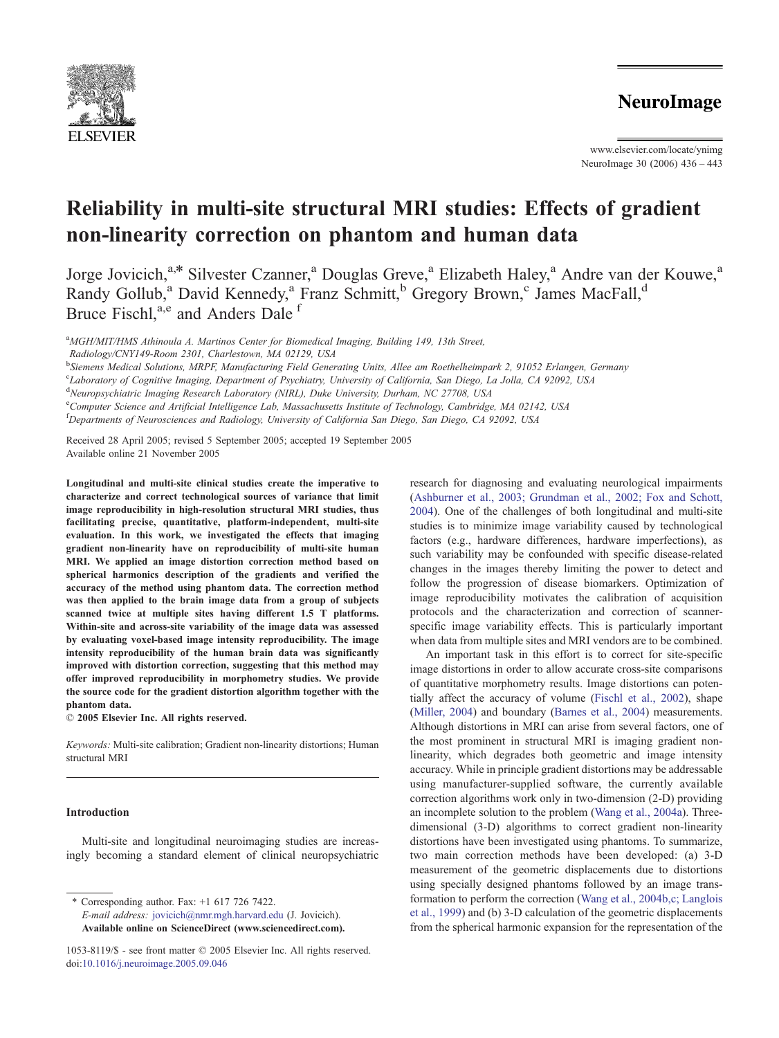

**NeuroImage** 

www.elsevier.com/locate/ynimg NeuroImage 30 (2006) 436 – 443

# Reliability in multi-site structural MRI studies: Effects of gradient non-linearity correction on phantom and human data

Jorge Jovicich,<sup>a,\*</sup> Silvester Czanner,<sup>a</sup> Douglas Greve,<sup>a</sup> Elizabeth Haley,<sup>a</sup> Andre van der Kouwe,<sup>a</sup> Randy Gollub,<sup>a</sup> David Kennedy,<sup>a</sup> Franz Schmitt,<sup>b</sup> Gregory Brown,<sup>c</sup> James MacFall,<sup>d</sup> Bruce Fischl,<sup>a,e</sup> and Anders Dale f

<sup>a</sup>MGH/MIT/HMS Athinoula A. Martinos Center for Biomedical Imaging, Building 149, 13th Street,

Radiology/CNY149-Room 2301, Charlestown, MA 02129, USA

b Siemens Medical Solutions, MRPF, Manufacturing Field Generating Units, Allee am Roethelheimpark 2, 91052 Erlangen, Germany

c Laboratory of Cognitive Imaging, Department of Psychiatry, University of California, San Diego, La Jolla, CA 92092, USA

<sup>d</sup>Neuropsychiatric Imaging Research Laboratory (NIRL), Duke University, Durham, NC 27708, USA

e Computer Science and Artificial Intelligence Lab, Massachusetts Institute of Technology, Cambridge, MA 02142, USA

f Departments of Neurosciences and Radiology, University of California San Diego, San Diego, CA 92092, USA

Received 28 April 2005; revised 5 September 2005; accepted 19 September 2005 Available online 21 November 2005

Longitudinal and multi-site clinical studies create the imperative to characterize and correct technological sources of variance that limit image reproducibility in high-resolution structural MRI studies, thus facilitating precise, quantitative, platform-independent, multi-site evaluation. In this work, we investigated the effects that imaging gradient non-linearity have on reproducibility of multi-site human MRI. We applied an image distortion correction method based on spherical harmonics description of the gradients and verified the accuracy of the method using phantom data. The correction method was then applied to the brain image data from a group of subjects scanned twice at multiple sites having different 1.5 T platforms. Within-site and across-site variability of the image data was assessed by evaluating voxel-based image intensity reproducibility. The image intensity reproducibility of the human brain data was significantly improved with distortion correction, suggesting that this method may offer improved reproducibility in morphometry studies. We provide the source code for the gradient distortion algorithm together with the phantom data.

 $©$  2005 Elsevier Inc. All rights reserved.

Keywords: Multi-site calibration; Gradient non-linearity distortions; Human structural MRI

# Introduction

Multi-site and longitudinal neuroimaging studies are increasingly becoming a standard element of clinical neuropsychiatric

\* Corresponding author. Fax: +1 617 726 7422.

E-mail address: [jovicich@nmr.mgh.harvard.edu](mailto:jovicich@nmr.mgh.harvard.edu) (J. Jovicich). Available online on ScienceDirect ([www.sciencedirect.com](http://www.sciencedirect.com)). research for diagnosing and evaluating neurological impairments ([Ashburner et al., 2003; Grundman et al., 2002; Fox and Schott,](#page-7-0) 2004). One of the challenges of both longitudinal and multi-site studies is to minimize image variability caused by technological factors (e.g., hardware differences, hardware imperfections), as such variability may be confounded with specific disease-related changes in the images thereby limiting the power to detect and follow the progression of disease biomarkers. Optimization of image reproducibility motivates the calibration of acquisition protocols and the characterization and correction of scannerspecific image variability effects. This is particularly important when data from multiple sites and MRI vendors are to be combined.

An important task in this effort is to correct for site-specific image distortions in order to allow accurate cross-site comparisons of quantitative morphometry results. Image distortions can potentially affect the accuracy of volume ([Fischl et al., 2002\)](#page-7-0), shape ([Miller, 2004\)](#page-7-0) and boundary ([Barnes et al., 2004\)](#page-7-0) measurements. Although distortions in MRI can arise from several factors, one of the most prominent in structural MRI is imaging gradient nonlinearity, which degrades both geometric and image intensity accuracy. While in principle gradient distortions may be addressable using manufacturer-supplied software, the currently available correction algorithms work only in two-dimension (2-D) providing an incomplete solution to the problem ([Wang et al., 2004a\)](#page-7-0). Threedimensional (3-D) algorithms to correct gradient non-linearity distortions have been investigated using phantoms. To summarize, two main correction methods have been developed: (a) 3-D measurement of the geometric displacements due to distortions using specially designed phantoms followed by an image transformation to perform the correction ([Wang et al., 2004b,c; Langlois](#page-7-0) et al., 1999) and (b) 3-D calculation of the geometric displacements from the spherical harmonic expansion for the representation of the

<sup>1053-8119/\$ -</sup> see front matter © 2005 Elsevier Inc. All rights reserved. doi:[10.1016/j.neuroimage.2005.09.046](http://dx.doi.org/10.1016/j.neuroimage.2005.09.046)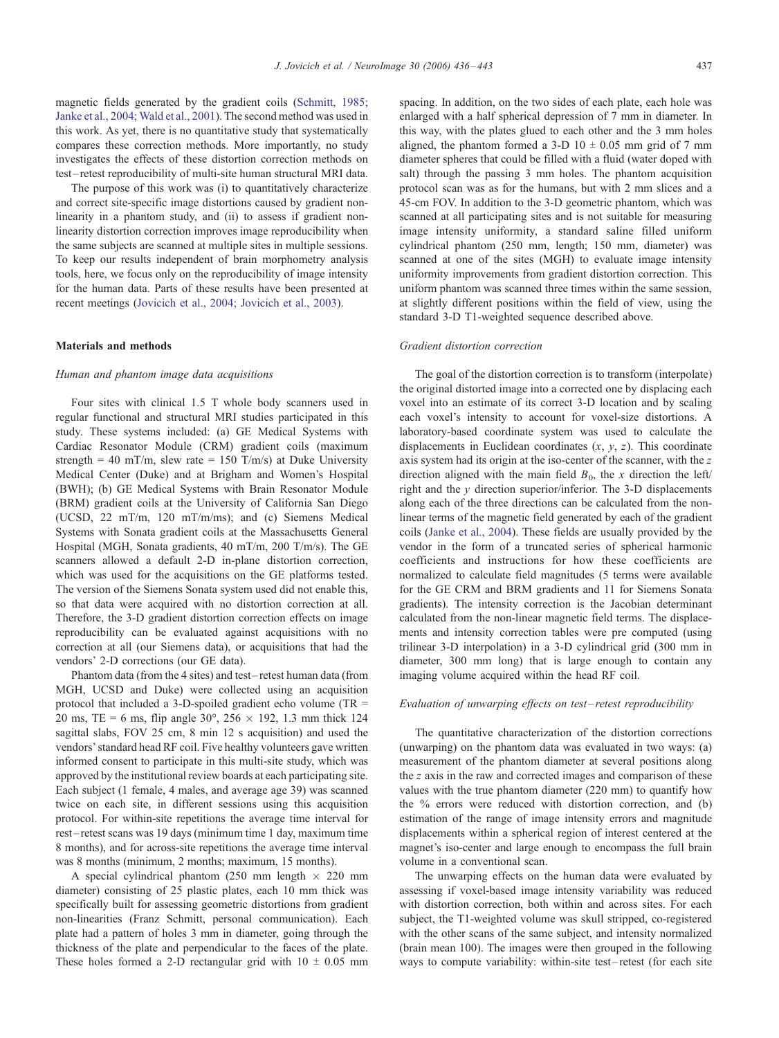magnetic fields generated by the gradient coils ([Schmitt, 1985;](#page-7-0) Janke et al., 2004; Wald et al., 2001). The second method was used in this work. As yet, there is no quantitative study that systematically compares these correction methods. More importantly, no study investigates the effects of these distortion correction methods on test – retest reproducibility of multi-site human structural MRI data.

The purpose of this work was (i) to quantitatively characterize and correct site-specific image distortions caused by gradient nonlinearity in a phantom study, and (ii) to assess if gradient nonlinearity distortion correction improves image reproducibility when the same subjects are scanned at multiple sites in multiple sessions. To keep our results independent of brain morphometry analysis tools, here, we focus only on the reproducibility of image intensity for the human data. Parts of these results have been presented at recent meetings ([Jovicich et al., 2004; Jovicich et al., 2003\)](#page-7-0).

# Materials and methods

# Human and phantom image data acquisitions

Four sites with clinical 1.5 T whole body scanners used in regular functional and structural MRI studies participated in this study. These systems included: (a) GE Medical Systems with Cardiac Resonator Module (CRM) gradient coils (maximum strength = 40 mT/m, slew rate = 150 T/m/s) at Duke University Medical Center (Duke) and at Brigham and Women's Hospital (BWH); (b) GE Medical Systems with Brain Resonator Module (BRM) gradient coils at the University of California San Diego (UCSD, 22 mT/m, 120 mT/m/ms); and (c) Siemens Medical Systems with Sonata gradient coils at the Massachusetts General Hospital (MGH, Sonata gradients, 40 mT/m, 200 T/m/s). The GE scanners allowed a default 2-D in-plane distortion correction, which was used for the acquisitions on the GE platforms tested. The version of the Siemens Sonata system used did not enable this, so that data were acquired with no distortion correction at all. Therefore, the 3-D gradient distortion correction effects on image reproducibility can be evaluated against acquisitions with no correction at all (our Siemens data), or acquisitions that had the vendors' 2-D corrections (our GE data).

Phantom data (from the 4 sites) and test-retest human data (from MGH, UCSD and Duke) were collected using an acquisition protocol that included a 3-D-spoiled gradient echo volume (TR = 20 ms, TE = 6 ms, flip angle  $30^{\circ}$ ,  $256 \times 192$ , 1.3 mm thick 124 sagittal slabs, FOV 25 cm, 8 min 12 s acquisition) and used the vendors' standard head RF coil. Five healthy volunteers gave written informed consent to participate in this multi-site study, which was approved by the institutional review boards at each participating site. Each subject (1 female, 4 males, and average age 39) was scanned twice on each site, in different sessions using this acquisition protocol. For within-site repetitions the average time interval for rest – retest scans was 19 days (minimum time 1 day, maximum time 8 months), and for across-site repetitions the average time interval was 8 months (minimum, 2 months; maximum, 15 months).

A special cylindrical phantom (250 mm length  $\times$  220 mm diameter) consisting of 25 plastic plates, each 10 mm thick was specifically built for assessing geometric distortions from gradient non-linearities (Franz Schmitt, personal communication). Each plate had a pattern of holes 3 mm in diameter, going through the thickness of the plate and perpendicular to the faces of the plate. These holes formed a 2-D rectangular grid with  $10 \pm 0.05$  mm spacing. In addition, on the two sides of each plate, each hole was enlarged with a half spherical depression of 7 mm in diameter. In this way, with the plates glued to each other and the 3 mm holes aligned, the phantom formed a 3-D  $10 \pm 0.05$  mm grid of 7 mm diameter spheres that could be filled with a fluid (water doped with salt) through the passing 3 mm holes. The phantom acquisition protocol scan was as for the humans, but with 2 mm slices and a 45-cm FOV. In addition to the 3-D geometric phantom, which was scanned at all participating sites and is not suitable for measuring image intensity uniformity, a standard saline filled uniform cylindrical phantom (250 mm, length; 150 mm, diameter) was scanned at one of the sites (MGH) to evaluate image intensity uniformity improvements from gradient distortion correction. This uniform phantom was scanned three times within the same session, at slightly different positions within the field of view, using the standard 3-D T1-weighted sequence described above.

### Gradient distortion correction

The goal of the distortion correction is to transform (interpolate) the original distorted image into a corrected one by displacing each voxel into an estimate of its correct 3-D location and by scaling each voxel's intensity to account for voxel-size distortions. A laboratory-based coordinate system was used to calculate the displacements in Euclidean coordinates  $(x, y, z)$ . This coordinate axis system had its origin at the iso-center of the scanner, with the z direction aligned with the main field  $B_0$ , the x direction the left/ right and the y direction superior/inferior. The 3-D displacements along each of the three directions can be calculated from the nonlinear terms of the magnetic field generated by each of the gradient coils ([Janke et al., 2004\)](#page-7-0). These fields are usually provided by the vendor in the form of a truncated series of spherical harmonic coefficients and instructions for how these coefficients are normalized to calculate field magnitudes (5 terms were available for the GE CRM and BRM gradients and 11 for Siemens Sonata gradients). The intensity correction is the Jacobian determinant calculated from the non-linear magnetic field terms. The displacements and intensity correction tables were pre computed (using trilinear 3-D interpolation) in a 3-D cylindrical grid (300 mm in diameter, 300 mm long) that is large enough to contain any imaging volume acquired within the head RF coil.

# Evaluation of unwarping effects on test-retest reproducibility

The quantitative characterization of the distortion corrections (unwarping) on the phantom data was evaluated in two ways: (a) measurement of the phantom diameter at several positions along the z axis in the raw and corrected images and comparison of these values with the true phantom diameter (220 mm) to quantify how the % errors were reduced with distortion correction, and (b) estimation of the range of image intensity errors and magnitude displacements within a spherical region of interest centered at the magnet's iso-center and large enough to encompass the full brain volume in a conventional scan.

The unwarping effects on the human data were evaluated by assessing if voxel-based image intensity variability was reduced with distortion correction, both within and across sites. For each subject, the T1-weighted volume was skull stripped, co-registered with the other scans of the same subject, and intensity normalized (brain mean 100). The images were then grouped in the following ways to compute variability: within-site test-retest (for each site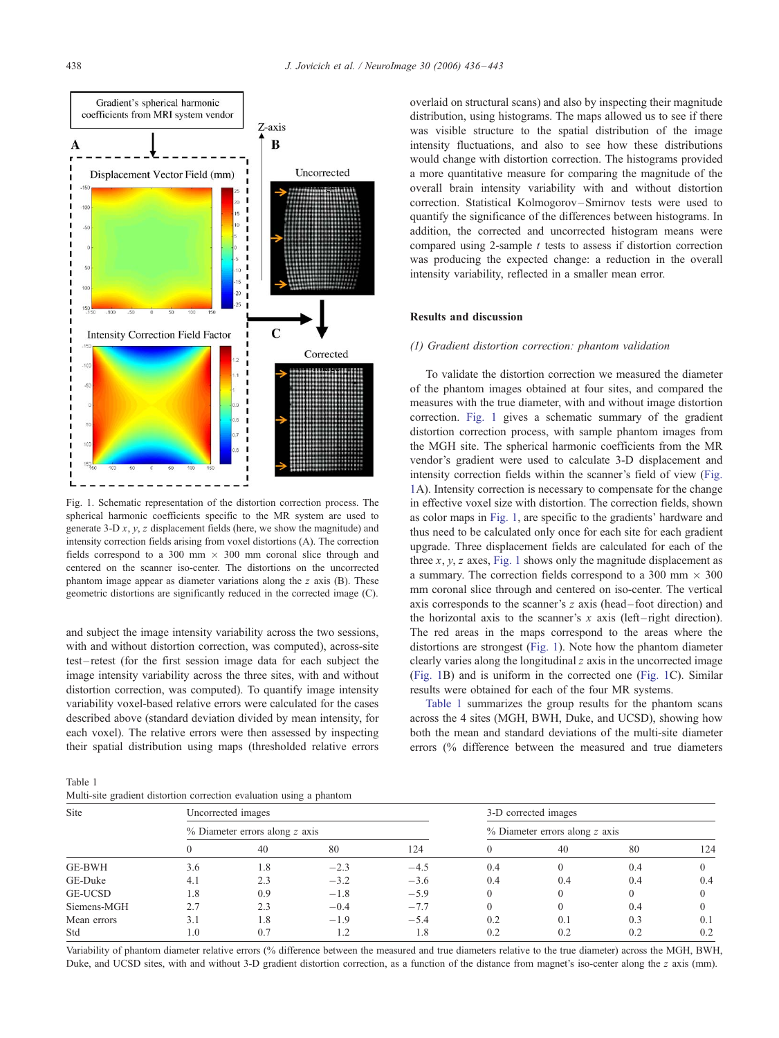<span id="page-2-0"></span>

Fig. 1. Schematic representation of the distortion correction process. The spherical harmonic coefficients specific to the MR system are used to generate 3-D  $x$ ,  $y$ ,  $z$  displacement fields (here, we show the magnitude) and intensity correction fields arising from voxel distortions (A). The correction fields correspond to a 300 mm  $\times$  300 mm coronal slice through and centered on the scanner iso-center. The distortions on the uncorrected phantom image appear as diameter variations along the z axis (B). These geometric distortions are significantly reduced in the corrected image (C).

and subject the image intensity variability across the two sessions, with and without distortion correction, was computed), across-site test – retest (for the first session image data for each subject the image intensity variability across the three sites, with and without distortion correction, was computed). To quantify image intensity variability voxel-based relative errors were calculated for the cases described above (standard deviation divided by mean intensity, for each voxel). The relative errors were then assessed by inspecting their spatial distribution using maps (thresholded relative errors

Table 1<br>Multi sit Multi-site gradient distortion correction evaluation using a phantom

overlaid on structural scans) and also by inspecting their magnitude distribution, using histograms. The maps allowed us to see if there was visible structure to the spatial distribution of the image intensity fluctuations, and also to see how these distributions would change with distortion correction. The histograms provided a more quantitative measure for comparing the magnitude of the overall brain intensity variability with and without distortion correction. Statistical Kolmogorov – Smirnov tests were used to quantify the significance of the differences between histograms. In addition, the corrected and uncorrected histogram means were compared using 2-sample  $t$  tests to assess if distortion correction was producing the expected change: a reduction in the overall intensity variability, reflected in a smaller mean error.

# Results and discussion

#### (1) Gradient distortion correction: phantom validation

To validate the distortion correction we measured the diameter of the phantom images obtained at four sites, and compared the measures with the true diameter, with and without image distortion correction. Fig. 1 gives a schematic summary of the gradient distortion correction process, with sample phantom images from the MGH site. The spherical harmonic coefficients from the MR vendor's gradient were used to calculate 3-D displacement and intensity correction fields within the scanner's field of view (Fig. 1A). Intensity correction is necessary to compensate for the change in effective voxel size with distortion. The correction fields, shown as color maps in Fig. 1, are specific to the gradients' hardware and thus need to be calculated only once for each site for each gradient upgrade. Three displacement fields are calculated for each of the three  $x, y, z$  axes, Fig. 1 shows only the magnitude displacement as a summary. The correction fields correspond to a 300 mm  $\times$  300 mm coronal slice through and centered on iso-center. The vertical axis corresponds to the scanner's z axis (head – foot direction) and the horizontal axis to the scanner's  $x$  axis (left-right direction). The red areas in the maps correspond to the areas where the distortions are strongest (Fig. 1). Note how the phantom diameter clearly varies along the longitudinal  $z$  axis in the uncorrected image (Fig. 1B) and is uniform in the corrected one (Fig. 1C). Similar results were obtained for each of the four MR systems.

Table 1 summarizes the group results for the phantom scans across the 4 sites (MGH, BWH, Duke, and UCSD), showing how both the mean and standard deviations of the multi-site diameter errors (% difference between the measured and true diameters

| <u>Multi-She gradient distortion correction</u> evaluation using a phantom |                                                      |     |        |        |                                  |     |     |     |
|----------------------------------------------------------------------------|------------------------------------------------------|-----|--------|--------|----------------------------------|-----|-----|-----|
| Site                                                                       | Uncorrected images<br>% Diameter errors along z axis |     |        |        | 3-D corrected images             |     |     |     |
|                                                                            |                                                      |     |        |        | $%$ Diameter errors along z axis |     |     |     |
|                                                                            |                                                      | 40  | 80     | 124    |                                  | 40  | 80  | 124 |
| GE-BWH                                                                     | 3.6                                                  | 1.8 | $-2.3$ | $-4.5$ | 0.4                              |     | 0.4 |     |
| GE-Duke                                                                    | 4.1                                                  | 2.3 | $-3.2$ | $-3.6$ | 0.4                              | 0.4 | 0.4 | 0.4 |
| <b>GE-UCSD</b>                                                             | 1.8                                                  | 0.9 | $-1.8$ | $-5.9$ |                                  |     |     |     |
| Siemens-MGH                                                                | 2.7                                                  | 2.3 | $-0.4$ | $-7.7$ |                                  |     | 0.4 |     |
| Mean errors                                                                | 3.1                                                  | 1.8 | $-1.9$ | $-5.4$ | 0.2                              | 0.1 | 0.3 | 0.1 |
| Std                                                                        | 1.0                                                  | 0.7 |        | 1.8    | 0.2                              |     | 0.2 | 0.2 |

Variability of phantom diameter relative errors (% difference between the measured and true diameters relative to the true diameter) across the MGH, BWH, Duke, and UCSD sites, with and without 3-D gradient distortion correction, as a function of the distance from magnet's iso-center along the z axis (mm).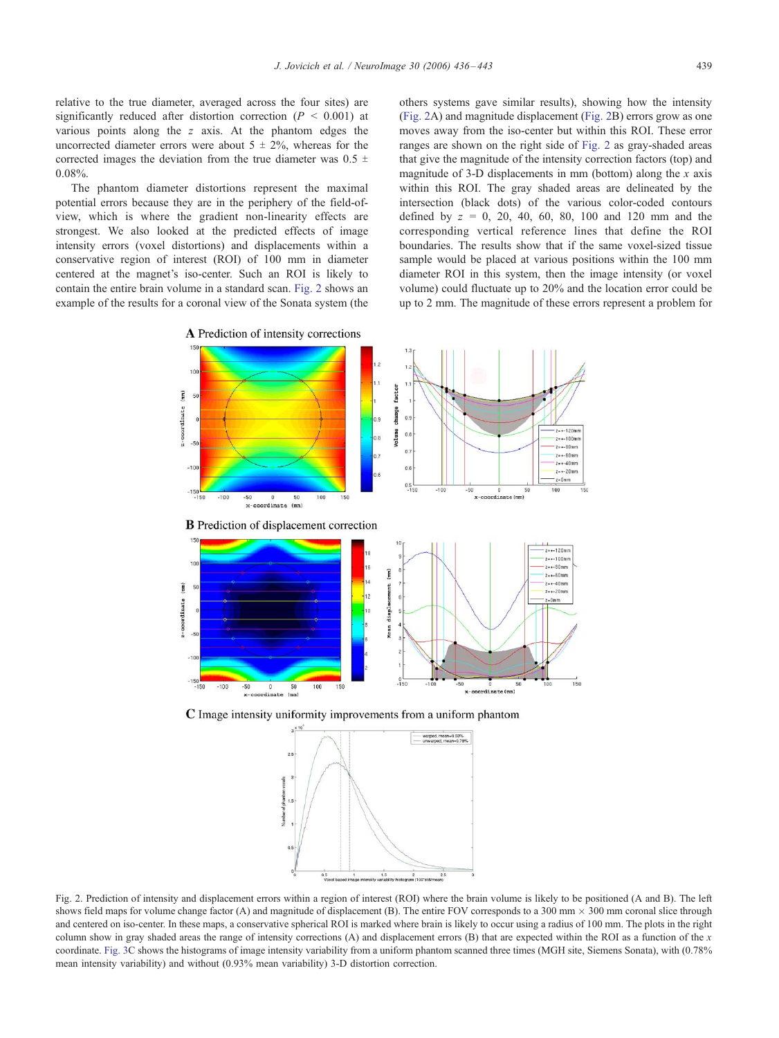<span id="page-3-0"></span>relative to the true diameter, averaged across the four sites) are significantly reduced after distortion correction ( $P < 0.001$ ) at various points along the z axis. At the phantom edges the uncorrected diameter errors were about  $5 \pm 2\%$ , whereas for the corrected images the deviation from the true diameter was  $0.5 \pm$ 0.08%.

The phantom diameter distortions represent the maximal potential errors because they are in the periphery of the field-ofview, which is where the gradient non-linearity effects are strongest. We also looked at the predicted effects of image intensity errors (voxel distortions) and displacements within a conservative region of interest (ROI) of 100 mm in diameter centered at the magnet's iso-center. Such an ROI is likely to contain the entire brain volume in a standard scan. Fig. 2 shows an example of the results for a coronal view of the Sonata system (the others systems gave similar results), showing how the intensity (Fig. 2A) and magnitude displacement (Fig. 2B) errors grow as one moves away from the iso-center but within this ROI. These error ranges are shown on the right side of Fig. 2 as gray-shaded areas that give the magnitude of the intensity correction factors (top) and magnitude of 3-D displacements in mm (bottom) along the x axis within this ROI. The gray shaded areas are delineated by the intersection (black dots) of the various color-coded contours defined by  $z = 0$ , 20, 40, 60, 80, 100 and 120 mm and the corresponding vertical reference lines that define the ROI boundaries. The results show that if the same voxel-sized tissue sample would be placed at various positions within the 100 mm diameter ROI in this system, then the image intensity (or voxel volume) could fluctuate up to 20% and the location error could be up to 2 mm. The magnitude of these errors represent a problem for





Fig. 2. Prediction of intensity and displacement errors within a region of interest (ROI) where the brain volume is likely to be positioned (A and B). The left shows field maps for volume change factor (A) and magnitude of displacement (B). The entire FOV corresponds to a 300 mm  $\times$  300 mm coronal slice through and centered on iso-center. In these maps, a conservative spherical ROI is marked where brain is likely to occur using a radius of 100 mm. The plots in the right column show in gray shaded areas the range of intensity corrections (A) and displacement errors (B) that are expected within the ROI as a function of the  $x$ coordinate. [Fig. 3](#page-4-0)C shows the histograms of image intensity variability from a uniform phantom scanned three times (MGH site, Siemens Sonata), with (0.78% mean intensity variability) and without (0.93% mean variability) 3-D distortion correction.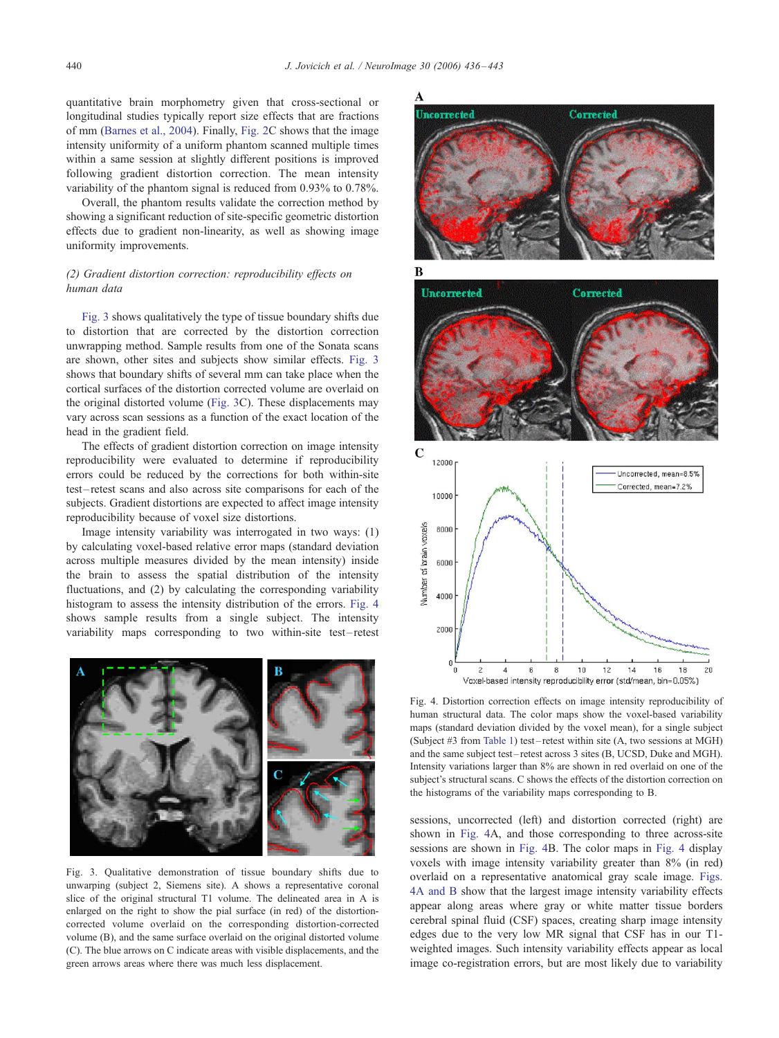<span id="page-4-0"></span>quantitative brain morphometry given that cross-sectional or longitudinal studies typically report size effects that are fractions of mm ([Barnes et al., 2004\)](#page-7-0). Finally, [Fig. 2C](#page-3-0) shows that the image intensity uniformity of a uniform phantom scanned multiple times within a same session at slightly different positions is improved following gradient distortion correction. The mean intensity variability of the phantom signal is reduced from 0.93% to 0.78%.

Overall, the phantom results validate the correction method by showing a significant reduction of site-specific geometric distortion effects due to gradient non-linearity, as well as showing image uniformity improvements.

# (2) Gradient distortion correction: reproducibility effects on human data

Fig. 3 shows qualitatively the type of tissue boundary shifts due to distortion that are corrected by the distortion correction unwrapping method. Sample results from one of the Sonata scans are shown, other sites and subjects show similar effects. Fig. 3 shows that boundary shifts of several mm can take place when the cortical surfaces of the distortion corrected volume are overlaid on the original distorted volume (Fig. 3C). These displacements may vary across scan sessions as a function of the exact location of the head in the gradient field.

The effects of gradient distortion correction on image intensity reproducibility were evaluated to determine if reproducibility errors could be reduced by the corrections for both within-site test – retest scans and also across site comparisons for each of the subjects. Gradient distortions are expected to affect image intensity reproducibility because of voxel size distortions.

Image intensity variability was interrogated in two ways: (1) by calculating voxel-based relative error maps (standard deviation across multiple measures divided by the mean intensity) inside the brain to assess the spatial distribution of the intensity fluctuations, and (2) by calculating the corresponding variability histogram to assess the intensity distribution of the errors. Fig. 4 shows sample results from a single subject. The intensity variability maps corresponding to two within-site test-retest



Fig. 3. Qualitative demonstration of tissue boundary shifts due to unwarping (subject 2, Siemens site). A shows a representative coronal slice of the original structural T1 volume. The delineated area in A is enlarged on the right to show the pial surface (in red) of the distortioncorrected volume overlaid on the corresponding distortion-corrected volume (B), and the same surface overlaid on the original distorted volume (C). The blue arrows on C indicate areas with visible displacements, and the green arrows areas where there was much less displacement.

**Uncorrected** Corrected  $\overline{\mathbf{R}}$ Corrected Uncorrected  $\mathbf C$ 12000 Uncorrected, mean=8.5% Corrected, mean=7.2% 10000 lumber of brain voxels 8000 6000 4000 2000  $\overline{4}$  $\bf{8}$ 10  $12$  $14$  $16$ 18 **T**  $\overline{2}$  $6$  $20$ Voxel-based intensity reproducibility error (std/mean, bin=0.05%)

Fig. 4. Distortion correction effects on image intensity reproducibility of human structural data. The color maps show the voxel-based variability maps (standard deviation divided by the voxel mean), for a single subject (Subject #3 from [Table 1\)](#page-2-0) test – retest within site (A, two sessions at MGH) and the same subject test-retest across 3 sites (B, UCSD, Duke and MGH). Intensity variations larger than 8% are shown in red overlaid on one of the subject's structural scans. C shows the effects of the distortion correction on the histograms of the variability maps corresponding to B.

sessions, uncorrected (left) and distortion corrected (right) are shown in Fig. 4A, and those corresponding to three across-site sessions are shown in Fig. 4B. The color maps in Fig. 4 display voxels with image intensity variability greater than 8% (in red) overlaid on a representative anatomical gray scale image. Figs. 4A and B show that the largest image intensity variability effects appear along areas where gray or white matter tissue borders cerebral spinal fluid (CSF) spaces, creating sharp image intensity edges due to the very low MR signal that CSF has in our T1 weighted images. Such intensity variability effects appear as local image co-registration errors, but are most likely due to variability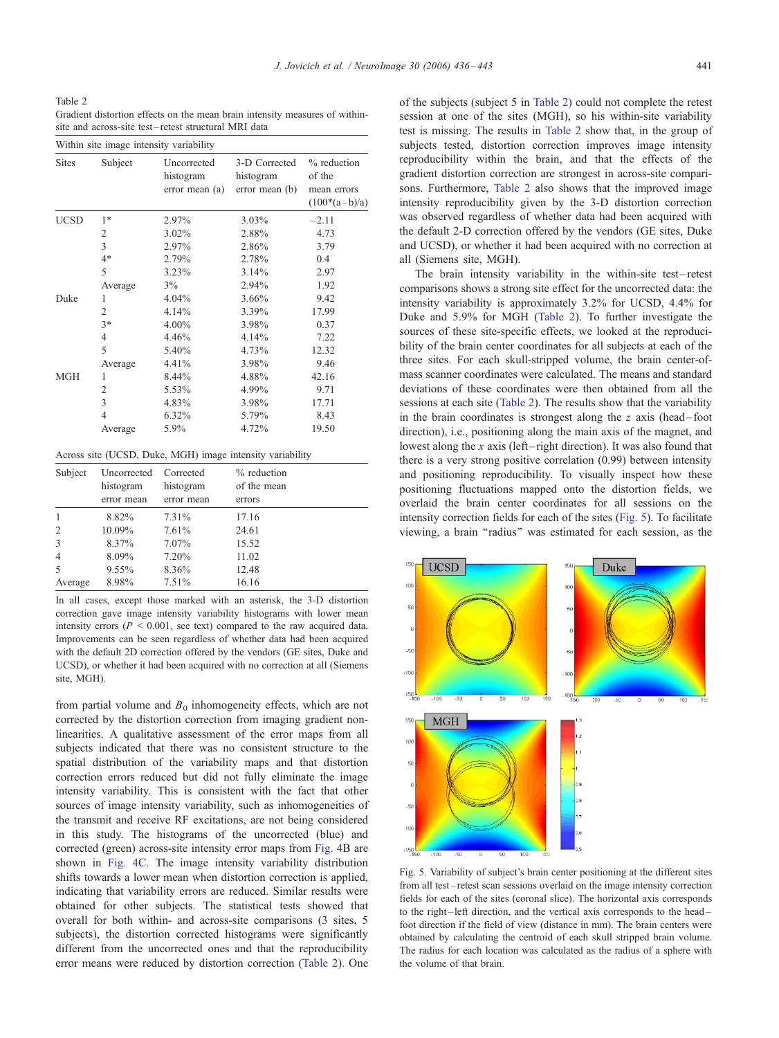<span id="page-5-0"></span>Table 2 Gradient distortion effects on the mean brain intensity measures of withinsite and across-site test-retest structural MRI data

|              |                | Within site image intensity variability    |                                              |                                                         |
|--------------|----------------|--------------------------------------------|----------------------------------------------|---------------------------------------------------------|
| <b>Sites</b> | Subject        | Uncorrected<br>histogram<br>error mean (a) | 3-D Corrected<br>histogram<br>error mean (b) | % reduction<br>of the<br>mean errors<br>$(100*(a-b)/a)$ |
| <b>UCSD</b>  | $1*$           | 2.97%                                      | $3.03\%$                                     | $-2.11$                                                 |
|              | 2              | $3.02\%$                                   | 2.88%                                        | 4.73                                                    |
|              | 3              | 2.97%                                      | 2.86%                                        | 3.79                                                    |
|              | $4*$           | 2.79%                                      | 2.78%                                        | 0.4                                                     |
|              | 5              | 3.23%                                      | 3.14%                                        | 2.97                                                    |
|              | Average        | 3%                                         | 2.94%                                        | 1.92                                                    |
| Duke         | 1              | 4.04%                                      | 3.66%                                        | 9.42                                                    |
|              | $\overline{2}$ | 4.14%                                      | 3.39%                                        | 17.99                                                   |
|              | $3*$           | $4.00\%$                                   | 3.98%                                        | 0.37                                                    |
|              | 4              | 4.46%                                      | 4.14%                                        | 7.22                                                    |
|              | 5              | 5.40%                                      | 4.73%                                        | 12.32                                                   |
|              | Average        | 4.41%                                      | 3.98%                                        | 9.46                                                    |
| <b>MGH</b>   | 1              | 8.44%                                      | 4.88%                                        | 42.16                                                   |
|              | 2              | 5.53%                                      | 4.99%                                        | 9.71                                                    |
|              | 3              | 4.83%                                      | 3.98%                                        | 17.71                                                   |
|              | 4              | 6.32%                                      | 5.79%                                        | 8.43                                                    |
|              | Average        | 5.9%                                       | 4.72%                                        | 19.50                                                   |

Across site (UCSD, Duke, MGH) image intensity variability

| Subject        | Uncorrected<br>histogram<br>error mean | Corrected<br>histogram<br>error mean | $%$ reduction<br>of the mean<br>errors |
|----------------|----------------------------------------|--------------------------------------|----------------------------------------|
|                | 8.82%                                  | 7.31%                                | 17.16                                  |
| 2              | 10.09%                                 | 7.61%                                | 24.61                                  |
| 3              | 8.37%                                  | 7.07%                                | 15.52                                  |
| $\overline{4}$ | 8.09%                                  | 7.20%                                | 11.02                                  |
| 5              | $9.55\%$                               | 8.36%                                | 12.48                                  |
| Average        | 8.98%                                  | 7.51%                                | 16.16                                  |

In all cases, except those marked with an asterisk, the 3-D distortion correction gave image intensity variability histograms with lower mean intensity errors ( $P < 0.001$ , see text) compared to the raw acquired data. Improvements can be seen regardless of whether data had been acquired with the default 2D correction offered by the vendors (GE sites, Duke and UCSD), or whether it had been acquired with no correction at all (Siemens site, MGH).

from partial volume and  $B_0$  inhomogeneity effects, which are not corrected by the distortion correction from imaging gradient nonlinearities. A qualitative assessment of the error maps from all subjects indicated that there was no consistent structure to the spatial distribution of the variability maps and that distortion correction errors reduced but did not fully eliminate the image intensity variability. This is consistent with the fact that other sources of image intensity variability, such as inhomogeneities of the transmit and receive RF excitations, are not being considered in this study. The histograms of the uncorrected (blue) and corrected (green) across-site intensity error maps from [Fig. 4B](#page-4-0) are shown in [Fig. 4C](#page-4-0). The image intensity variability distribution shifts towards a lower mean when distortion correction is applied, indicating that variability errors are reduced. Similar results were obtained for other subjects. The statistical tests showed that overall for both within- and across-site comparisons (3 sites, 5 subjects), the distortion corrected histograms were significantly different from the uncorrected ones and that the reproducibility error means were reduced by distortion correction (Table 2). One

of the subjects (subject 5 in Table 2) could not complete the retest session at one of the sites (MGH), so his within-site variability test is missing. The results in Table 2 show that, in the group of subjects tested, distortion correction improves image intensity reproducibility within the brain, and that the effects of the gradient distortion correction are strongest in across-site comparisons. Furthermore, Table 2 also shows that the improved image intensity reproducibility given by the 3-D distortion correction was observed regardless of whether data had been acquired with the default 2-D correction offered by the vendors (GE sites, Duke and UCSD), or whether it had been acquired with no correction at all (Siemens site, MGH).

The brain intensity variability in the within-site test-retest comparisons shows a strong site effect for the uncorrected data: the intensity variability is approximately 3.2% for UCSD, 4.4% for Duke and 5.9% for MGH (Table 2). To further investigate the sources of these site-specific effects, we looked at the reproducibility of the brain center coordinates for all subjects at each of the three sites. For each skull-stripped volume, the brain center-ofmass scanner coordinates were calculated. The means and standard deviations of these coordinates were then obtained from all the sessions at each site (Table 2). The results show that the variability in the brain coordinates is strongest along the  $z$  axis (head-foot direction), i.e., positioning along the main axis of the magnet, and lowest along the x axis (left-right direction). It was also found that there is a very strong positive correlation (0.99) between intensity and positioning reproducibility. To visually inspect how these positioning fluctuations mapped onto the distortion fields, we overlaid the brain center coordinates for all sessions on the intensity correction fields for each of the sites (Fig. 5). To facilitate viewing, a brain ''radius'' was estimated for each session, as the



Fig. 5. Variability of subject's brain center positioning at the different sites from all test-retest scan sessions overlaid on the image intensity correction fields for each of the sites (coronal slice). The horizontal axis corresponds to the right –left direction, and the vertical axis corresponds to the head – foot direction if the field of view (distance in mm). The brain centers were obtained by calculating the centroid of each skull stripped brain volume. The radius for each location was calculated as the radius of a sphere with the volume of that brain.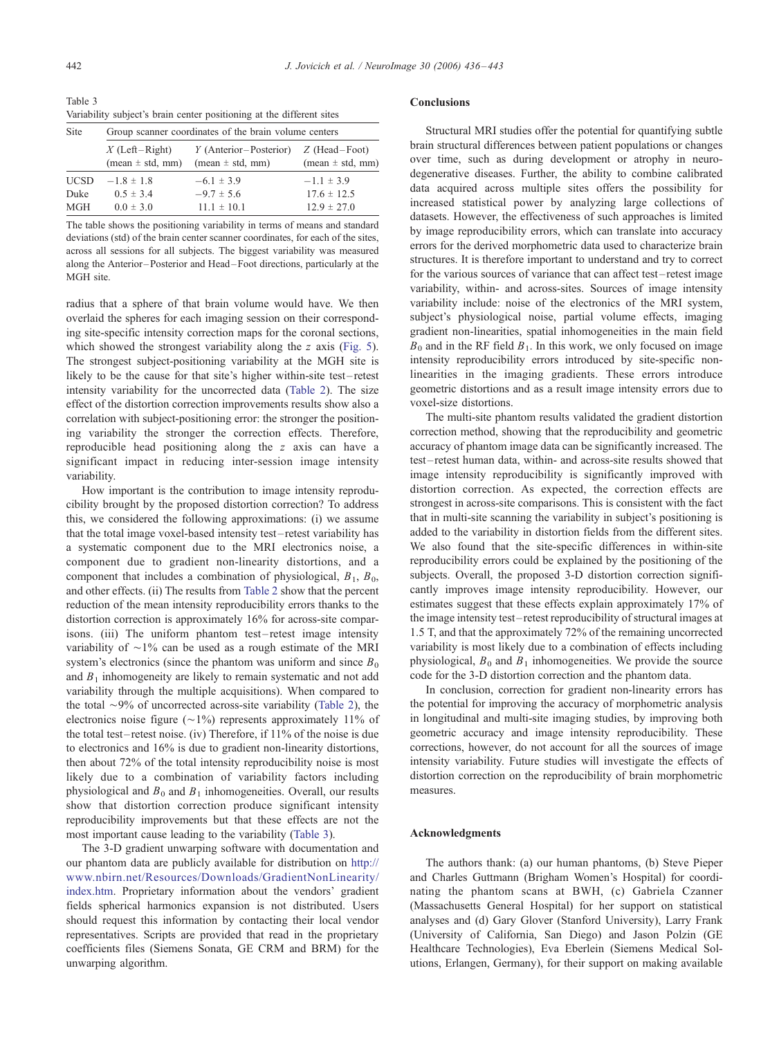Table 3 Variability subject's brain center positioning at the different sites

| Group scanner coordinates of the brain volume centers |                      |                                                                                  |  |  |  |
|-------------------------------------------------------|----------------------|----------------------------------------------------------------------------------|--|--|--|
|                                                       | $(mean \pm std, mm)$ | (mean $\pm$ std, mm)                                                             |  |  |  |
| $-1.8 \pm 1.8$                                        | $-6.1 \pm 3.9$       | $-1.1 \pm 3.9$                                                                   |  |  |  |
| $0.5 \pm 3.4$                                         | $-9.7 \pm 5.6$       | $17.6 \pm 12.5$                                                                  |  |  |  |
| $0.0 \pm 3.0$                                         | $11.1 \pm 10.1$      | $12.9 \pm 27.0$                                                                  |  |  |  |
|                                                       |                      | $X$ (Left–Right) $Y$ (Anterior–Posterior) $Z$ (Head–Foot)<br>$mean \pm std, mm)$ |  |  |  |

The table shows the positioning variability in terms of means and standard deviations (std) of the brain center scanner coordinates, for each of the sites, across all sessions for all subjects. The biggest variability was measured along the Anterior – Posterior and Head – Foot directions, particularly at the MGH site.

radius that a sphere of that brain volume would have. We then overlaid the spheres for each imaging session on their corresponding site-specific intensity correction maps for the coronal sections, which showed the strongest variability along the  $z$  axis ([Fig. 5\)](#page-5-0). The strongest subject-positioning variability at the MGH site is likely to be the cause for that site's higher within-site test-retest intensity variability for the uncorrected data ([Table 2\)](#page-5-0). The size effect of the distortion correction improvements results show also a correlation with subject-positioning error: the stronger the positioning variability the stronger the correction effects. Therefore, reproducible head positioning along the z axis can have a significant impact in reducing inter-session image intensity variability.

How important is the contribution to image intensity reproducibility brought by the proposed distortion correction? To address this, we considered the following approximations: (i) we assume that the total image voxel-based intensity test – retest variability has a systematic component due to the MRI electronics noise, a component due to gradient non-linearity distortions, and a component that includes a combination of physiological,  $B_1$ ,  $B_0$ , and other effects. (ii) The results from [Table 2](#page-5-0) show that the percent reduction of the mean intensity reproducibility errors thanks to the distortion correction is approximately 16% for across-site comparisons. (iii) The uniform phantom test-retest image intensity variability of  $\sim$ 1% can be used as a rough estimate of the MRI system's electronics (since the phantom was uniform and since  $B_0$ and  $B_1$  inhomogeneity are likely to remain systematic and not add variability through the multiple acquisitions). When compared to the total  $\sim$ 9% of uncorrected across-site variability ([Table 2\)](#page-5-0), the electronics noise figure  $(\sim 1\%)$  represents approximately 11% of the total test – retest noise. (iv) Therefore, if 11% of the noise is due to electronics and 16% is due to gradient non-linearity distortions, then about 72% of the total intensity reproducibility noise is most likely due to a combination of variability factors including physiological and  $B_0$  and  $B_1$  inhomogeneities. Overall, our results show that distortion correction produce significant intensity reproducibility improvements but that these effects are not the most important cause leading to the variability (Table 3).

The 3-D gradient unwarping software with documentation and our phantom data are publicly available for distribution on [http://]( http:\\www.nbirn.net\Resources\Downloads\GradientNonLinearity\index.htm ) www.nbirn.net/Resources/Downloads/GradientNonLinearity/ index.htm. Proprietary information about the vendors' gradient fields spherical harmonics expansion is not distributed. Users should request this information by contacting their local vendor representatives. Scripts are provided that read in the proprietary coefficients files (Siemens Sonata, GE CRM and BRM) for the unwarping algorithm.

### **Conclusions**

Structural MRI studies offer the potential for quantifying subtle brain structural differences between patient populations or changes over time, such as during development or atrophy in neurodegenerative diseases. Further, the ability to combine calibrated data acquired across multiple sites offers the possibility for increased statistical power by analyzing large collections of datasets. However, the effectiveness of such approaches is limited by image reproducibility errors, which can translate into accuracy errors for the derived morphometric data used to characterize brain structures. It is therefore important to understand and try to correct for the various sources of variance that can affect test-retest image variability, within- and across-sites. Sources of image intensity variability include: noise of the electronics of the MRI system, subject's physiological noise, partial volume effects, imaging gradient non-linearities, spatial inhomogeneities in the main field  $B_0$  and in the RF field  $B_1$ . In this work, we only focused on image intensity reproducibility errors introduced by site-specific nonlinearities in the imaging gradients. These errors introduce geometric distortions and as a result image intensity errors due to voxel-size distortions.

The multi-site phantom results validated the gradient distortion correction method, showing that the reproducibility and geometric accuracy of phantom image data can be significantly increased. The test – retest human data, within- and across-site results showed that image intensity reproducibility is significantly improved with distortion correction. As expected, the correction effects are strongest in across-site comparisons. This is consistent with the fact that in multi-site scanning the variability in subject's positioning is added to the variability in distortion fields from the different sites. We also found that the site-specific differences in within-site reproducibility errors could be explained by the positioning of the subjects. Overall, the proposed 3-D distortion correction significantly improves image intensity reproducibility. However, our estimates suggest that these effects explain approximately 17% of the image intensity test – retest reproducibility of structural images at 1.5 T, and that the approximately 72% of the remaining uncorrected variability is most likely due to a combination of effects including physiological,  $B_0$  and  $B_1$  inhomogeneities. We provide the source code for the 3-D distortion correction and the phantom data.

In conclusion, correction for gradient non-linearity errors has the potential for improving the accuracy of morphometric analysis in longitudinal and multi-site imaging studies, by improving both geometric accuracy and image intensity reproducibility. These corrections, however, do not account for all the sources of image intensity variability. Future studies will investigate the effects of distortion correction on the reproducibility of brain morphometric measures.

# Acknowledgments

The authors thank: (a) our human phantoms, (b) Steve Pieper and Charles Guttmann (Brigham Women's Hospital) for coordinating the phantom scans at BWH, (c) Gabriela Czanner (Massachusetts General Hospital) for her support on statistical analyses and (d) Gary Glover (Stanford University), Larry Frank (University of California, San Diego) and Jason Polzin (GE Healthcare Technologies), Eva Eberlein (Siemens Medical Solutions, Erlangen, Germany), for their support on making available